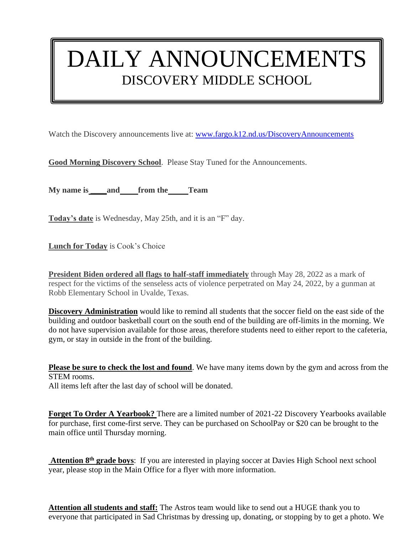## DAILY ANNOUNCEMENTS DISCOVERY MIDDLE SCHOOL

Watch the Discovery announcements live at: [www.fargo.k12.nd.us/DiscoveryAnnouncements](http://www.fargo.k12.nd.us/DiscoveryAnnouncements)

**Good Morning Discovery School**. Please Stay Tuned for the Announcements.

**My name is \_\_\_\_and from the Team**

**Today's date** is Wednesday, May 25th, and it is an "F" day.

**Lunch for Today** is Cook's Choice

**President Biden ordered all flags to half-staff immediately** through May 28, 2022 as a mark of respect for the victims of the senseless acts of violence perpetrated on May 24, 2022, by a gunman at Robb Elementary School in Uvalde, Texas.

**Discovery Administration** would like to remind all students that the soccer field on the east side of the building and outdoor basketball court on the south end of the building are off-limits in the morning. We do not have supervision available for those areas, therefore students need to either report to the cafeteria, gym, or stay in outside in the front of the building.

**Please be sure to check the lost and found**. We have many items down by the gym and across from the STEM rooms. All items left after the last day of school will be donated.

**Forget To Order A Yearbook?** There are a limited number of 2021-22 Discovery Yearbooks available for purchase, first come-first serve. They can be purchased on SchoolPay or \$20 can be brought to the main office until Thursday morning.

**Attention 8th grade boys**: If you are interested in playing soccer at Davies High School next school year, please stop in the Main Office for a flyer with more information.

**Attention all students and staff:** The Astros team would like to send out a HUGE thank you to everyone that participated in Sad Christmas by dressing up, donating, or stopping by to get a photo. We